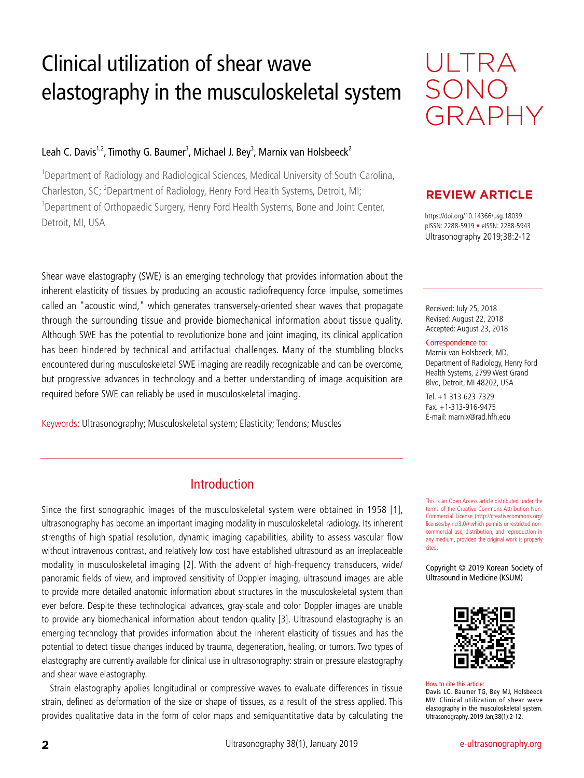# Clinical utilization of shear wave elastography in the musculoskeletal system

### Leah C. Davis<sup>1,2</sup>, Timothy G. Baumer<sup>3</sup>, Michael J. Bey<sup>3</sup>, Marnix van Holsbeeck<sup>2</sup>

<sup>1</sup>Department of Radiology and Radiological Sciences, Medical University of South Carolina, Charleston, SC; <sup>2</sup>Department of Radiology, Henry Ford Health Systems, Detroit, MI; <sup>3</sup>Department of Orthopaedic Surgery, Henry Ford Health Systems, Bone and Joint Center, https://doi.org/10.14366/usg.18039<br>Detroit, MI, USA مورد و 1803ه بالكلمة بالتالية بالتالية بالتالية بالتالية بالتالية بالتالية بالتالية بالتالية<br>pISSN: 2288-5919 • eISSN: 2288-5943

Shear wave elastography (SWE) is an emerging technology that provides information about the inherent elasticity of tissues by producing an acoustic radiofrequency force impulse, sometimes called an "acoustic wind," which generates transversely-oriented shear waves that propagate through the surrounding tissue and provide biomechanical information about tissue quality. Although SWE has the potential to revolutionize bone and joint imaging, its clinical application has been hindered by technical and artifactual challenges. Many of the stumbling blocks encountered during musculoskeletal SWE imaging are readily recognizable and can be overcome, but progressive advances in technology and a better understanding of image acquisition are required before SWE can reliably be used in musculoskeletal imaging.

Keywords: Ultrasonography; Musculoskeletal system; Elasticity; Tendons; Muscles

### Introduction

Since the first sonographic images of the musculoskeletal system were obtained in 1958 [1], ultrasonography has become an important imaging modality in musculoskeletal radiology. Its inherent strengths of high spatial resolution, dynamic imaging capabilities, ability to assess vascular flow without intravenous contrast, and relatively low cost have established ultrasound as an irreplaceable modality in musculoskeletal imaging [2]. With the advent of high-frequency transducers, wide/ panoramic fields of view, and improved sensitivity of Doppler imaging, ultrasound images are able to provide more detailed anatomic information about structures in the musculoskeletal system than ever before. Despite these technological advances, gray-scale and color Doppler images are unable to provide any biomechanical information about tendon quality [3]. Ultrasound elastography is an emerging technology that provides information about the inherent elasticity of tissues and has the potential to detect tissue changes induced by trauma, degeneration, healing, or tumors. Two types of elastography are currently available for clinical use in ultrasonography: strain or pressure elastography and shear wave elastography.

Strain elastography applies longitudinal or compressive waves to evaluate differences in tissue strain, defined as deformation of the size or shape of tissues, as a result of the stress applied. This provides qualitative data in the form of color maps and semiquantitative data by calculating the



### **REVIEW ARTICLE**

Ultrasonography 2019;38:2-12

Received: July 25, 2018 Revised: August 22, 2018 Accepted: August 23, 2018

#### Correspondence to:

Marnix van Holsbeeck, MD, Department of Radiology, Henry Ford Health Systems, 2799 West Grand Blvd, Detroit, MI 48202, USA

Tel. +1-313-623-7329 Fax. +1-313-916-9475 E-mail: marnix@rad.hfh.edu

This is an Open Access article distributed under the terms of the Creative Commons Attribution Non-Commercial License (http://creativecommons.org/ licenses/by-nc/3.0/) which permits unrestricted noncommercial use, distribution, and reproduction in any medium, provided the original work is properly cited.

Copyright © 2019 Korean Society of Ultrasound in Medicine (KSUM)



How to cite this article: Davis LC, Baumer TG, Bey MJ, Holsbeeck MV. Clinical utilization of shear wave elastography in the musculoskeletal system. Ultrasonography. 2019 Jan;38(1):2-12.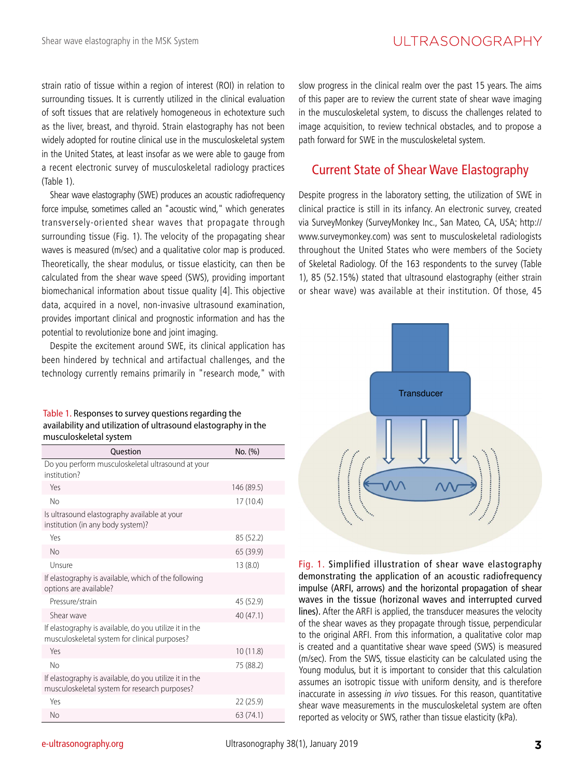strain ratio of tissue within a region of interest (ROI) in relation to surrounding tissues. It is currently utilized in the clinical evaluation of soft tissues that are relatively homogeneous in echotexture such as the liver, breast, and thyroid. Strain elastography has not been widely adopted for routine clinical use in the musculoskeletal system in the United States, at least insofar as we were able to gauge from a recent electronic survey of musculoskeletal radiology practices (Table 1).

Shear wave elastography (SWE) produces an acoustic radiofrequency force impulse, sometimes called an "acoustic wind," which generates transversely-oriented shear waves that propagate through surrounding tissue (Fig. 1). The velocity of the propagating shear waves is measured (m/sec) and a qualitative color map is produced. Theoretically, the shear modulus, or tissue elasticity, can then be calculated from the shear wave speed (SWS), providing important biomechanical information about tissue quality [4]. This objective data, acquired in a novel, non-invasive ultrasound examination, provides important clinical and prognostic information and has the potential to revolutionize bone and joint imaging.

Despite the excitement around SWE, its clinical application has been hindered by technical and artifactual challenges, and the technology currently remains primarily in "research mode," with

| Table 1. Responses to survey questions regarding the           |
|----------------------------------------------------------------|
| availability and utilization of ultrasound elastography in the |
| musculoskeletal system                                         |

| Ouestion                                                                                                | No. (%)    |
|---------------------------------------------------------------------------------------------------------|------------|
| Do you perform musculoskeletal ultrasound at your<br>institution?                                       |            |
| Yes                                                                                                     | 146 (89.5) |
| No                                                                                                      | 17(10.4)   |
| Is ultrasound elastography available at your<br>institution (in any body system)?                       |            |
| Yes                                                                                                     | 85 (52.2)  |
| <b>No</b>                                                                                               | 65 (39.9)  |
| Unsure                                                                                                  | 13(8.0)    |
| If elastography is available, which of the following<br>options are available?                          |            |
| Pressure/strain                                                                                         | 45 (52.9)  |
| Shear wave                                                                                              | 40 (47.1)  |
| If elastography is available, do you utilize it in the<br>musculoskeletal system for clinical purposes? |            |
| Yes                                                                                                     | 10(11.8)   |
| <b>No</b>                                                                                               | 75 (88.2)  |
| If elastography is available, do you utilize it in the<br>musculoskeletal system for research purposes? |            |
| Yes                                                                                                     | 22(25.9)   |
| <b>No</b>                                                                                               | 63 (74.1)  |

slow progress in the clinical realm over the past 15 years. The aims of this paper are to review the current state of shear wave imaging in the musculoskeletal system, to discuss the challenges related to image acquisition, to review technical obstacles, and to propose a path forward for SWE in the musculoskeletal system.

### Current State of Shear Wave Elastography

Despite progress in the laboratory setting, the utilization of SWE in clinical practice is still in its infancy. An electronic survey, created via SurveyMonkey (SurveyMonkey Inc., San Mateo, CA, USA; http:// www.surveymonkey.com) was sent to musculoskeletal radiologists throughout the United States who were members of the Society of Skeletal Radiology. Of the 163 respondents to the survey (Table 1), 85 (52.15%) stated that ultrasound elastography (either strain or shear wave) was available at their institution. Of those, 45



Fig. 1. Simplified illustration of shear wave elastography demonstrating the application of an acoustic radiofrequency impulse (ARFI, arrows) and the horizontal propagation of shear waves in the tissue (horizonal waves and interrupted curved lines). After the ARFI is applied, the transducer measures the velocity of the shear waves as they propagate through tissue, perpendicular to the original ARFI. From this information, a qualitative color map is created and a quantitative shear wave speed (SWS) is measured (m/sec). From the SWS, tissue elasticity can be calculated using the Young modulus, but it is important to consider that this calculation assumes an isotropic tissue with uniform density, and is therefore inaccurate in assessing in vivo tissues. For this reason, quantitative shear wave measurements in the musculoskeletal system are often reported as velocity or SWS, rather than tissue elasticity (kPa).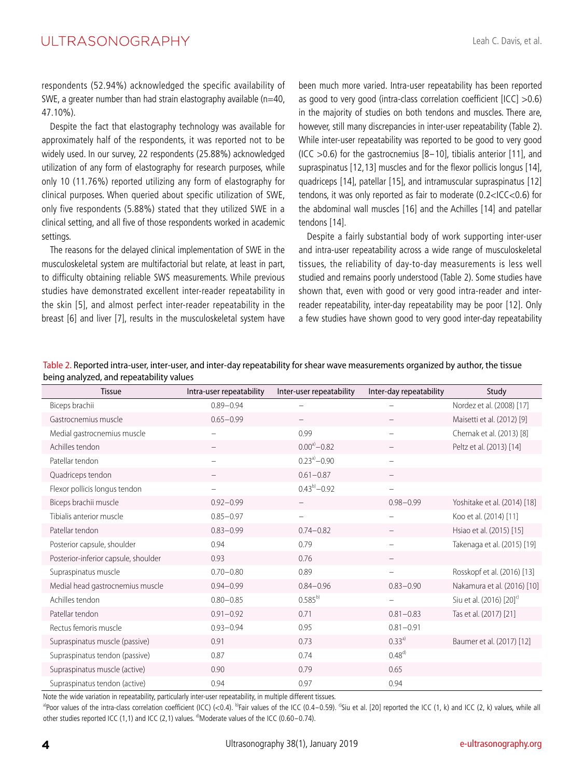respondents (52.94%) acknowledged the specific availability of SWE, a greater number than had strain elastography available ( $n=40$ , 47.10%).

Despite the fact that elastography technology was available for approximately half of the respondents, it was reported not to be widely used. In our survey, 22 respondents (25.88%) acknowledged utilization of any form of elastography for research purposes, while only 10 (11.76%) reported utilizing any form of elastography for clinical purposes. When queried about specific utilization of SWE, only five respondents (5.88%) stated that they utilized SWE in a clinical setting, and all five of those respondents worked in academic settings.

The reasons for the delayed clinical implementation of SWE in the musculoskeletal system are multifactorial but relate, at least in part, to difficulty obtaining reliable SWS measurements. While previous studies have demonstrated excellent inter-reader repeatability in the skin [5], and almost perfect inter-reader repeatability in the breast [6] and liver [7], results in the musculoskeletal system have been much more varied. Intra-user repeatability has been reported as good to very good (intra-class correlation coefficient [ICC] >0.6) in the majority of studies on both tendons and muscles. There are, however, still many discrepancies in inter-user repeatability (Table 2). While inter-user repeatability was reported to be good to very good  $(ICC > 0.6)$  for the gastrocnemius  $[8-10]$ , tibialis anterior  $[11]$ , and supraspinatus [12,13] muscles and for the flexor pollicis longus [14], quadriceps [14], patellar [15], and intramuscular supraspinatus [12] tendons, it was only reported as fair to moderate (0.2<ICC<0.6) for the abdominal wall muscles [16] and the Achilles [14] and patellar tendons [14].

Despite a fairly substantial body of work supporting inter-user and intra-user repeatability across a wide range of musculoskeletal tissues, the reliability of day-to-day measurements is less well studied and remains poorly understood (Table 2). Some studies have shown that, even with good or very good intra-reader and interreader repeatability, inter-day repeatability may be poor [12]. Only a few studies have shown good to very good inter-day repeatability

| Table 2. Reported intra-user, inter-user, and inter-day repeatability for shear wave measurements organized by author, the tissue |
|-----------------------------------------------------------------------------------------------------------------------------------|
| being analyzed, and repeatability values                                                                                          |

| <b>Tissue</b>                        | Intra-user repeatability | Inter-user repeatability | Inter-day repeatability | Study                                |
|--------------------------------------|--------------------------|--------------------------|-------------------------|--------------------------------------|
| Biceps brachii                       | $0.89 - 0.94$            |                          |                         | Nordez et al. (2008) [17]            |
| Gastrocnemius muscle                 | $0.65 - 0.99$            |                          |                         | Maisetti et al. (2012) [9]           |
| Medial gastrocnemius muscle          |                          | 0.99                     |                         | Chernak et al. (2013) [8]            |
| Achilles tendon                      |                          | $0.00^{a}$ - 0.82        |                         | Peltz et al. (2013) [14]             |
| Patellar tendon                      |                          | $0.23^{a}$ - 0.90        |                         |                                      |
| Quadriceps tendon                    |                          | $0.61 - 0.87$            |                         |                                      |
| Flexor pollicis longus tendon        |                          | $0.43^{b)} - 0.92$       |                         |                                      |
| Biceps brachii muscle                | $0.92 - 0.99$            |                          | $0.98 - 0.99$           | Yoshitake et al. (2014) [18]         |
| Tibialis anterior muscle             | $0.85 - 0.97$            | $\overline{\phantom{0}}$ |                         | Koo et al. (2014) [11]               |
| Patellar tendon                      | $0.83 - 0.99$            | $0.74 - 0.82$            |                         | Hsiao et al. (2015) [15]             |
| Posterior capsule, shoulder          | 0.94                     | 0.79                     |                         | Takenaga et al. (2015) [19]          |
| Posterior-inferior capsule, shoulder | 0.93                     | 0.76                     |                         |                                      |
| Supraspinatus muscle                 | $0.70 - 0.80$            | 0.89                     |                         | Rosskopf et al. (2016) [13]          |
| Medial head gastrocnemius muscle     | $0.94 - 0.99$            | $0.84 - 0.96$            | $0.83 - 0.90$           | Nakamura et al. (2016) [10]          |
| Achilles tendon                      | $0.80 - 0.85$            | $0.585^{b}$              |                         | Siu et al. (2016) [20] <sup>c)</sup> |
| Patellar tendon                      | $0.91 - 0.92$            | 0.71                     | $0.81 - 0.83$           | Tas et al. (2017) [21]               |
| Rectus femoris muscle                | $0.93 - 0.94$            | 0.95                     | $0.81 - 0.91$           |                                      |
| Supraspinatus muscle (passive)       | 0.91                     | 0.73                     | $0.33^{a}$              | Baumer et al. (2017) [12]            |
| Supraspinatus tendon (passive)       | 0.87                     | 0.74                     | $0.48^{d}$              |                                      |
| Supraspinatus muscle (active)        | 0.90                     | 0.79                     | 0.65                    |                                      |
| Supraspinatus tendon (active)        | 0.94                     | 0.97                     | 0.94                    |                                      |

Note the wide variation in repeatability, particularly inter-user repeatability, in multiple different tissues.

<sup>a)</sup>Poor values of the intra-class correlation coefficient (ICC) (<0.4). <sup>b</sup>Fair values of the ICC (0.4-0.59). <sup>c</sup>Siu et al. [20] reported the ICC (1, k) and ICC (2, k) values, while all other studies reported ICC (1,1) and ICC (2,1) values. <sup>d</sup>)Moderate values of the ICC (0.60–0.74).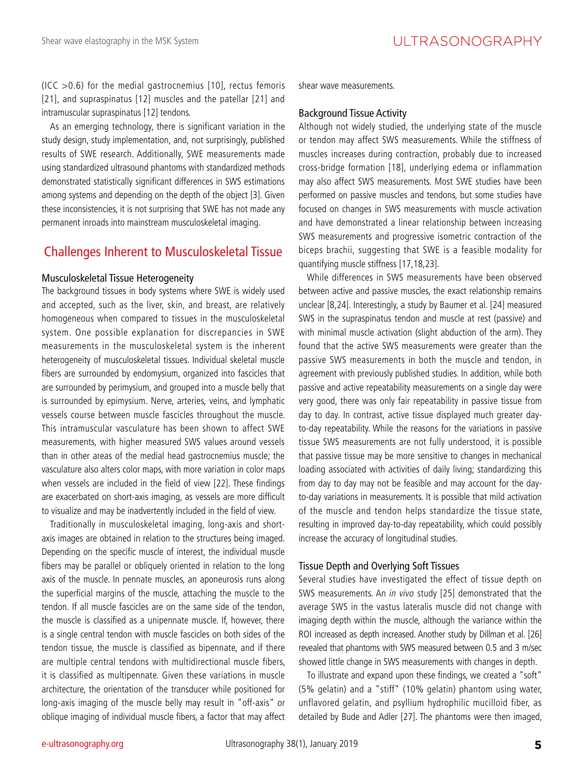$(ICC > 0.6)$  for the medial gastrocnemius [10], rectus femoris [21], and supraspinatus [12] muscles and the patellar [21] and intramuscular supraspinatus [12] tendons.

As an emerging technology, there is significant variation in the study design, study implementation, and, not surprisingly, published results of SWE research. Additionally, SWE measurements made using standardized ultrasound phantoms with standardized methods demonstrated statistically significant differences in SWS estimations among systems and depending on the depth of the object [3]. Given these inconsistencies, it is not surprising that SWE has not made any permanent inroads into mainstream musculoskeletal imaging.

### Challenges Inherent to Musculoskeletal Tissue

#### Musculoskeletal Tissue Heterogeneity

The background tissues in body systems where SWE is widely used and accepted, such as the liver, skin, and breast, are relatively homogeneous when compared to tissues in the musculoskeletal system. One possible explanation for discrepancies in SWE measurements in the musculoskeletal system is the inherent heterogeneity of musculoskeletal tissues. Individual skeletal muscle fibers are surrounded by endomysium, organized into fascicles that are surrounded by perimysium, and grouped into a muscle belly that is surrounded by epimysium. Nerve, arteries, veins, and lymphatic vessels course between muscle fascicles throughout the muscle. This intramuscular vasculature has been shown to affect SWE measurements, with higher measured SWS values around vessels than in other areas of the medial head gastrocnemius muscle; the vasculature also alters color maps, with more variation in color maps when vessels are included in the field of view [22]. These findings are exacerbated on short-axis imaging, as vessels are more difficult to visualize and may be inadvertently included in the field of view.

Traditionally in musculoskeletal imaging, long-axis and shortaxis images are obtained in relation to the structures being imaged. Depending on the specific muscle of interest, the individual muscle fibers may be parallel or obliquely oriented in relation to the long axis of the muscle. In pennate muscles, an aponeurosis runs along the superficial margins of the muscle, attaching the muscle to the tendon. If all muscle fascicles are on the same side of the tendon, the muscle is classified as a unipennate muscle. If, however, there is a single central tendon with muscle fascicles on both sides of the tendon tissue, the muscle is classified as bipennate, and if there are multiple central tendons with multidirectional muscle fibers, it is classified as multipennate. Given these variations in muscle architecture, the orientation of the transducer while positioned for long-axis imaging of the muscle belly may result in "off-axis" or oblique imaging of individual muscle fibers, a factor that may affect

shear wave measurements.

#### Background Tissue Activity

Although not widely studied, the underlying state of the muscle or tendon may affect SWS measurements. While the stiffness of muscles increases during contraction, probably due to increased cross-bridge formation [18], underlying edema or inflammation may also affect SWS measurements. Most SWE studies have been performed on passive muscles and tendons, but some studies have focused on changes in SWS measurements with muscle activation and have demonstrated a linear relationship between increasing SWS measurements and progressive isometric contraction of the biceps brachii, suggesting that SWE is a feasible modality for quantifying muscle stiffness [17,18,23].

While differences in SWS measurements have been observed between active and passive muscles, the exact relationship remains unclear [8,24]. Interestingly, a study by Baumer et al. [24] measured SWS in the supraspinatus tendon and muscle at rest (passive) and with minimal muscle activation (slight abduction of the arm). They found that the active SWS measurements were greater than the passive SWS measurements in both the muscle and tendon, in agreement with previously published studies. In addition, while both passive and active repeatability measurements on a single day were very good, there was only fair repeatability in passive tissue from day to day. In contrast, active tissue displayed much greater dayto-day repeatability. While the reasons for the variations in passive tissue SWS measurements are not fully understood, it is possible that passive tissue may be more sensitive to changes in mechanical loading associated with activities of daily living; standardizing this from day to day may not be feasible and may account for the dayto-day variations in measurements. It is possible that mild activation of the muscle and tendon helps standardize the tissue state, resulting in improved day-to-day repeatability, which could possibly increase the accuracy of longitudinal studies.

#### Tissue Depth and Overlying Soft Tissues

Several studies have investigated the effect of tissue depth on SWS measurements. An in vivo study [25] demonstrated that the average SWS in the vastus lateralis muscle did not change with imaging depth within the muscle, although the variance within the ROI increased as depth increased. Another study by Dillman et al. [26] revealed that phantoms with SWS measured between 0.5 and 3 m/sec showed little change in SWS measurements with changes in depth.

To illustrate and expand upon these findings, we created a "soft" (5% gelatin) and a "stiff" (10% gelatin) phantom using water, unflavored gelatin, and psyllium hydrophilic mucilloid fiber, as detailed by Bude and Adler [27]. The phantoms were then imaged,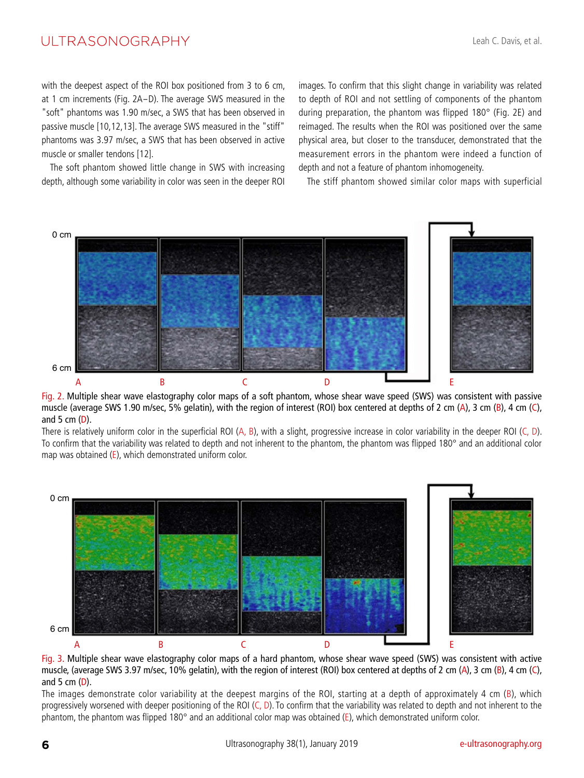with the deepest aspect of the ROI box positioned from 3 to 6 cm, at 1 cm increments (Fig. 2A-D). The average SWS measured in the "soft" phantoms was 1.90 m/sec, a SWS that has been observed in passive muscle [10,12,13]. The average SWS measured in the "stiff" phantoms was 3.97 m/sec, a SWS that has been observed in active muscle or smaller tendons [12].

The soft phantom showed little change in SWS with increasing depth, although some variability in color was seen in the deeper ROI

images. To confirm that this slight change in variability was related to depth of ROI and not settling of components of the phantom during preparation, the phantom was flipped 180° (Fig. 2E) and reimaged. The results when the ROI was positioned over the same physical area, but closer to the transducer, demonstrated that the measurement errors in the phantom were indeed a function of depth and not a feature of phantom inhomogeneity.

The stiff phantom showed similar color maps with superficial



Fig. 2. Multiple shear wave elastography color maps of a soft phantom, whose shear wave speed (SWS) was consistent with passive muscle (average SWS 1.90 m/sec, 5% gelatin), with the region of interest (ROI) box centered at depths of 2 cm (A), 3 cm (B), 4 cm (C), and 5 cm  $(D)$ .

There is relatively uniform color in the superficial ROI (A, B), with a slight, progressive increase in color variability in the deeper ROI (C, D). To confirm that the variability was related to depth and not inherent to the phantom, the phantom was flipped 180° and an additional color map was obtained (E), which demonstrated uniform color.



Fig. 3. Multiple shear wave elastography color maps of a hard phantom, whose shear wave speed (SWS) was consistent with active muscle, (average SWS 3.97 m/sec, 10% gelatin), with the region of interest (ROI) box centered at depths of 2 cm (A), 3 cm (B), 4 cm (C), and 5 cm  $(D)$ .

The images demonstrate color variability at the deepest margins of the ROI, starting at a depth of approximately 4 cm (B), which progressively worsened with deeper positioning of the ROI (C, D). To confirm that the variability was related to depth and not inherent to the phantom, the phantom was flipped 180° and an additional color map was obtained (E), which demonstrated uniform color.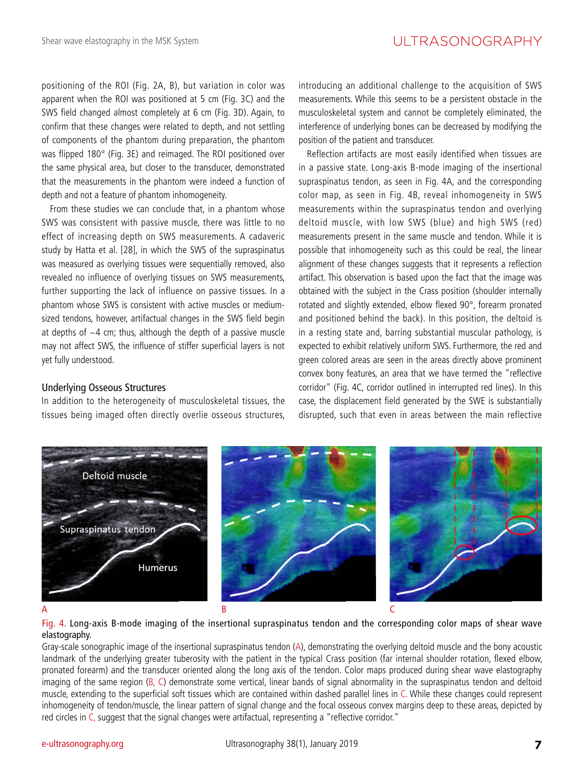positioning of the ROI (Fig. 2A, B), but variation in color was apparent when the ROI was positioned at 5 cm (Fig. 3C) and the SWS field changed almost completely at 6 cm (Fig. 3D). Again, to confirm that these changes were related to depth, and not settling of components of the phantom during preparation, the phantom was flipped 180° (Fig. 3E) and reimaged. The ROI positioned over the same physical area, but closer to the transducer, demonstrated that the measurements in the phantom were indeed a function of depth and not a feature of phantom inhomogeneity.

From these studies we can conclude that, in a phantom whose SWS was consistent with passive muscle, there was little to no effect of increasing depth on SWS measurements. A cadaveric study by Hatta et al. [28], in which the SWS of the supraspinatus was measured as overlying tissues were sequentially removed, also revealed no influence of overlying tissues on SWS measurements, further supporting the lack of influence on passive tissues. In a phantom whose SWS is consistent with active muscles or mediumsized tendons, however, artifactual changes in the SWS field begin at depths of  $\sim$ 4 cm; thus, although the depth of a passive muscle may not affect SWS, the influence of stiffer superficial layers is not yet fully understood.

#### Underlying Osseous Structures

In addition to the heterogeneity of musculoskeletal tissues, the tissues being imaged often directly overlie osseous structures,

introducing an additional challenge to the acquisition of SWS measurements. While this seems to be a persistent obstacle in the musculoskeletal system and cannot be completely eliminated, the interference of underlying bones can be decreased by modifying the position of the patient and transducer.

Reflection artifacts are most easily identified when tissues are in a passive state. Long-axis B-mode imaging of the insertional supraspinatus tendon, as seen in Fig. 4A, and the corresponding color map, as seen in Fig. 4B, reveal inhomogeneity in SWS measurements within the supraspinatus tendon and overlying deltoid muscle, with low SWS (blue) and high SWS (red) measurements present in the same muscle and tendon. While it is possible that inhomogeneity such as this could be real, the linear alignment of these changes suggests that it represents a reflection artifact. This observation is based upon the fact that the image was obtained with the subject in the Crass position (shoulder internally rotated and slightly extended, elbow flexed 90°, forearm pronated and positioned behind the back). In this position, the deltoid is in a resting state and, barring substantial muscular pathology, is expected to exhibit relatively uniform SWS. Furthermore, the red and green colored areas are seen in the areas directly above prominent convex bony features, an area that we have termed the "reflective corridor" (Fig. 4C, corridor outlined in interrupted red lines). In this case, the displacement field generated by the SWE is substantially disrupted, such that even in areas between the main reflective



#### Fig. 4. Long-axis B-mode imaging of the insertional supraspinatus tendon and the corresponding color maps of shear wave elastography.

Gray-scale sonographic image of the insertional supraspinatus tendon (A), demonstrating the overlying deltoid muscle and the bony acoustic landmark of the underlying greater tuberosity with the patient in the typical Crass position (far internal shoulder rotation, flexed elbow, pronated forearm) and the transducer oriented along the long axis of the tendon. Color maps produced during shear wave elastography imaging of the same region (B, C) demonstrate some vertical, linear bands of signal abnormality in the supraspinatus tendon and deltoid muscle, extending to the superficial soft tissues which are contained within dashed parallel lines in C. While these changes could represent inhomogeneity of tendon/muscle, the linear pattern of signal change and the focal osseous convex margins deep to these areas, depicted by red circles in C, suggest that the signal changes were artifactual, representing a "reflective corridor."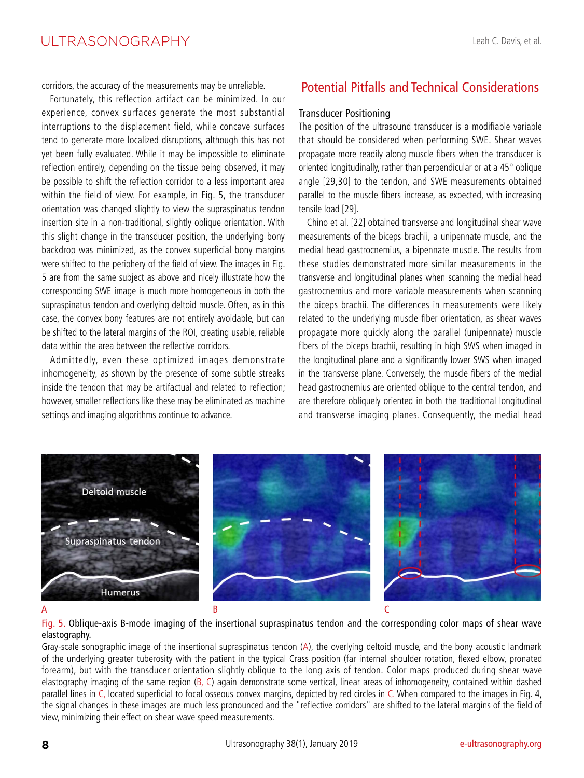corridors, the accuracy of the measurements may be unreliable.

Fortunately, this reflection artifact can be minimized. In our experience, convex surfaces generate the most substantial interruptions to the displacement field, while concave surfaces tend to generate more localized disruptions, although this has not yet been fully evaluated. While it may be impossible to eliminate reflection entirely, depending on the tissue being observed, it may be possible to shift the reflection corridor to a less important area within the field of view. For example, in Fig. 5, the transducer orientation was changed slightly to view the supraspinatus tendon insertion site in a non-traditional, slightly oblique orientation. With this slight change in the transducer position, the underlying bony backdrop was minimized, as the convex superficial bony margins were shifted to the periphery of the field of view. The images in Fig. 5 are from the same subject as above and nicely illustrate how the corresponding SWE image is much more homogeneous in both the supraspinatus tendon and overlying deltoid muscle. Often, as in this case, the convex bony features are not entirely avoidable, but can be shifted to the lateral margins of the ROI, creating usable, reliable data within the area between the reflective corridors.

Admittedly, even these optimized images demonstrate inhomogeneity, as shown by the presence of some subtle streaks inside the tendon that may be artifactual and related to reflection; however, smaller reflections like these may be eliminated as machine settings and imaging algorithms continue to advance.

### Potential Pitfalls and Technical Considerations

#### Transducer Positioning

The position of the ultrasound transducer is a modifiable variable that should be considered when performing SWE. Shear waves propagate more readily along muscle fibers when the transducer is oriented longitudinally, rather than perpendicular or at a 45° oblique angle [29,30] to the tendon, and SWE measurements obtained parallel to the muscle fibers increase, as expected, with increasing tensile load [29].

Chino et al. [22] obtained transverse and longitudinal shear wave measurements of the biceps brachii, a unipennate muscle, and the medial head gastrocnemius, a bipennate muscle. The results from these studies demonstrated more similar measurements in the transverse and longitudinal planes when scanning the medial head gastrocnemius and more variable measurements when scanning the biceps brachii. The differences in measurements were likely related to the underlying muscle fiber orientation, as shear waves propagate more quickly along the parallel (unipennate) muscle fibers of the biceps brachii, resulting in high SWS when imaged in the longitudinal plane and a significantly lower SWS when imaged in the transverse plane. Conversely, the muscle fibers of the medial head gastrocnemius are oriented oblique to the central tendon, and are therefore obliquely oriented in both the traditional longitudinal and transverse imaging planes. Consequently, the medial head



#### Fig. 5. Oblique-axis B-mode imaging of the insertional supraspinatus tendon and the corresponding color maps of shear wave elastography.

Gray-scale sonographic image of the insertional supraspinatus tendon (A), the overlying deltoid muscle, and the bony acoustic landmark of the underlying greater tuberosity with the patient in the typical Crass position (far internal shoulder rotation, flexed elbow, pronated forearm), but with the transducer orientation slightly oblique to the long axis of tendon. Color maps produced during shear wave elastography imaging of the same region (B, C) again demonstrate some vertical, linear areas of inhomogeneity, contained within dashed parallel lines in C, located superficial to focal osseous convex margins, depicted by red circles in C. When compared to the images in Fig. 4, the signal changes in these images are much less pronounced and the "reflective corridors" are shifted to the lateral margins of the field of view, minimizing their effect on shear wave speed measurements.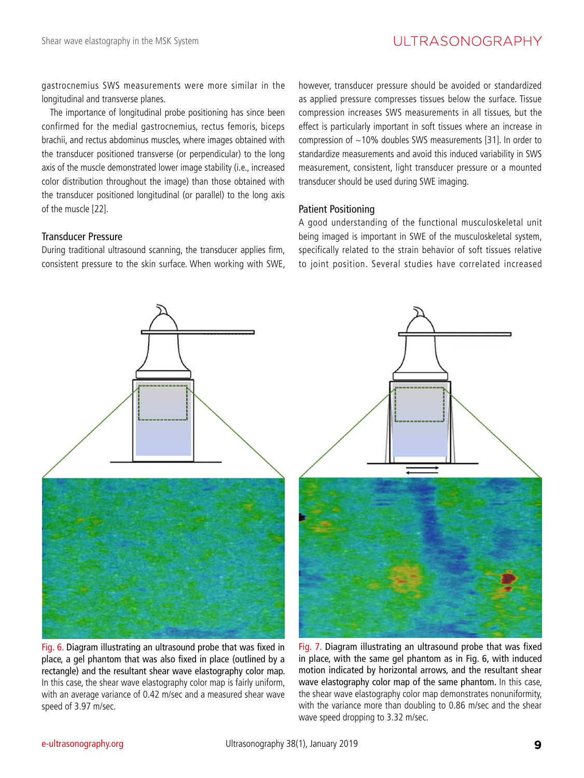gastrocnemius SWS measurements were more similar in the longitudinal and transverse planes.

The importance of longitudinal probe positioning has since been confirmed for the medial gastrocnemius, rectus femoris, biceps brachii, and rectus abdominus muscles, where images obtained with the transducer positioned transverse (or perpendicular) to the long axis of the muscle demonstrated lower image stability (i.e., increased color distribution throughout the image) than those obtained with the transducer positioned longitudinal (or parallel) to the long axis of the muscle [22].

#### Transducer Pressure

During traditional ultrasound scanning, the transducer applies firm, consistent pressure to the skin surface. When working with SWE, however, transducer pressure should be avoided or standardized as applied pressure compresses tissues below the surface. Tissue compression increases SWS measurements in all tissues, but the effect is particularly important in soft tissues where an increase in compression of  $\sim$ 10% doubles SWS measurements [31]. In order to standardize measurements and avoid this induced variability in SWS measurement, consistent, light transducer pressure or a mounted transducer should be used during SWE imaging.

#### Patient Positioning

A good understanding of the functional musculoskeletal unit being imaged is important in SWE of the musculoskeletal system, specifically related to the strain behavior of soft tissues relative to joint position. Several studies have correlated increased



Fig. 6. Diagram illustrating an ultrasound probe that was fixed in place, a gel phantom that was also fixed in place (outlined by a rectangle) and the resultant shear wave elastography color map. In this case, the shear wave elastography color map is fairly uniform, with an average variance of 0.42 m/sec and a measured shear wave speed of 3.97 m/sec.



Fig. 7. Diagram illustrating an ultrasound probe that was fixed in place, with the same gel phantom as in Fig. 6, with induced motion indicated by horizontal arrows, and the resultant shear wave elastography color map of the same phantom. In this case, the shear wave elastography color map demonstrates nonuniformity, with the variance more than doubling to 0.86 m/sec and the shear wave speed dropping to 3.32 m/sec.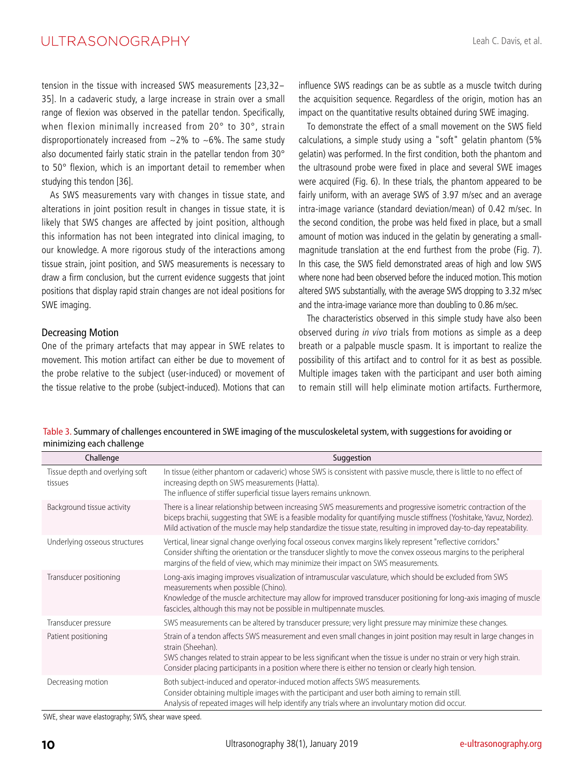tension in the tissue with increased SWS measurements [23,32- 35]. In a cadaveric study, a large increase in strain over a small range of flexion was observed in the patellar tendon. Specifically, when flexion minimally increased from 20° to 30°, strain disproportionately increased from  $\sim$  2% to  $\sim$  6%. The same study also documented fairly static strain in the patellar tendon from 30° to 50° flexion, which is an important detail to remember when studying this tendon [36].

As SWS measurements vary with changes in tissue state, and alterations in joint position result in changes in tissue state, it is likely that SWS changes are affected by joint position, although this information has not been integrated into clinical imaging, to our knowledge. A more rigorous study of the interactions among tissue strain, joint position, and SWS measurements is necessary to draw a firm conclusion, but the current evidence suggests that joint positions that display rapid strain changes are not ideal positions for SWE imaging.

#### Decreasing Motion

One of the primary artefacts that may appear in SWE relates to movement. This motion artifact can either be due to movement of the probe relative to the subject (user-induced) or movement of the tissue relative to the probe (subject-induced). Motions that can

influence SWS readings can be as subtle as a muscle twitch during the acquisition sequence. Regardless of the origin, motion has an impact on the quantitative results obtained during SWE imaging.

To demonstrate the effect of a small movement on the SWS field calculations, a simple study using a "soft" gelatin phantom (5% gelatin) was performed. In the first condition, both the phantom and the ultrasound probe were fixed in place and several SWE images were acquired (Fig. 6). In these trials, the phantom appeared to be fairly uniform, with an average SWS of 3.97 m/sec and an average intra-image variance (standard deviation/mean) of 0.42 m/sec. In the second condition, the probe was held fixed in place, but a small amount of motion was induced in the gelatin by generating a smallmagnitude translation at the end furthest from the probe (Fig. 7). In this case, the SWS field demonstrated areas of high and low SWS where none had been observed before the induced motion. This motion altered SWS substantially, with the average SWS dropping to 3.32 m/sec and the intra-image variance more than doubling to 0.86 m/sec.

The characteristics observed in this simple study have also been observed during in vivo trials from motions as simple as a deep breath or a palpable muscle spasm. It is important to realize the possibility of this artifact and to control for it as best as possible. Multiple images taken with the participant and user both aiming to remain still will help eliminate motion artifacts. Furthermore,

| Table 3. Summary of challenges encountered in SWE imaging of the musculoskeletal system, with suggestions for avoiding or |  |
|---------------------------------------------------------------------------------------------------------------------------|--|
| minimizing each challenge                                                                                                 |  |

| Challenge                                  | Suggestion                                                                                                                                                                                                                                                                                                                                                              |
|--------------------------------------------|-------------------------------------------------------------------------------------------------------------------------------------------------------------------------------------------------------------------------------------------------------------------------------------------------------------------------------------------------------------------------|
| Tissue depth and overlying soft<br>tissues | In tissue (either phantom or cadaveric) whose SWS is consistent with passive muscle, there is little to no effect of<br>increasing depth on SWS measurements (Hatta).<br>The influence of stiffer superficial tissue layers remains unknown.                                                                                                                            |
| Background tissue activity                 | There is a linear relationship between increasing SWS measurements and progressive isometric contraction of the<br>biceps brachii, suggesting that SWE is a feasible modality for quantifying muscle stiffness (Yoshitake, Yavuz, Nordez).<br>Mild activation of the muscle may help standardize the tissue state, resulting in improved day-to-day repeatability.      |
| Underlying osseous structures              | Vertical, linear signal change overlying focal osseous convex margins likely represent "reflective corridors."<br>Consider shifting the orientation or the transducer slightly to move the convex osseous margins to the peripheral<br>margins of the field of view, which may minimize their impact on SWS measurements.                                               |
| Transducer positioning                     | Long-axis imaging improves visualization of intramuscular vasculature, which should be excluded from SWS<br>measurements when possible (Chino).<br>Knowledge of the muscle architecture may allow for improved transducer positioning for long-axis imaging of muscle<br>fascicles, although this may not be possible in multipennate muscles.                          |
| Transducer pressure                        | SWS measurements can be altered by transducer pressure; very light pressure may minimize these changes.                                                                                                                                                                                                                                                                 |
| Patient positioning                        | Strain of a tendon affects SWS measurement and even small changes in joint position may result in large changes in<br>strain (Sheehan).<br>SWS changes related to strain appear to be less significant when the tissue is under no strain or very high strain.<br>Consider placing participants in a position where there is either no tension or clearly high tension. |
| Decreasing motion                          | Both subject-induced and operator-induced motion affects SWS measurements.<br>Consider obtaining multiple images with the participant and user both aiming to remain still.<br>Analysis of repeated images will help identify any trials where an involuntary motion did occur.                                                                                         |

SWE, shear wave elastography; SWS, shear wave speed.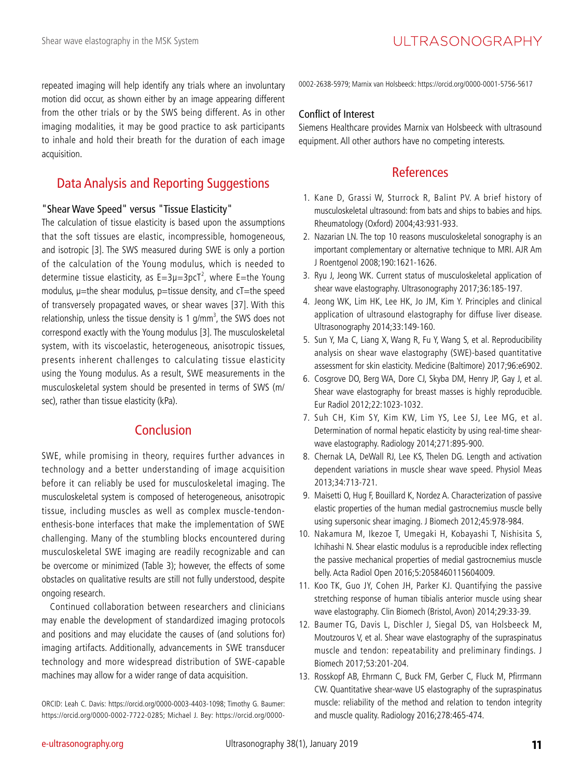repeated imaging will help identify any trials where an involuntary motion did occur, as shown either by an image appearing different from the other trials or by the SWS being different. As in other imaging modalities, it may be good practice to ask participants to inhale and hold their breath for the duration of each image acquisition.

### Data Analysis and Reporting Suggestions

#### "Shear Wave Speed" versus "Tissue Elasticity"

The calculation of tissue elasticity is based upon the assumptions that the soft tissues are elastic, incompressible, homogeneous, and isotropic [3]. The SWS measured during SWE is only a portion of the calculation of the Young modulus, which is needed to determine tissue elasticity, as  $E=3\mu=3\textrm{pc}^{-2}$ , where E=the Young modulus,  $\mu$ =the shear modulus,  $p$ =tissue density, and cT=the speed of transversely propagated waves, or shear waves [37]. With this relationship, unless the tissue density is 1 g/mm<sup>3</sup>, the SWS does not correspond exactly with the Young modulus [3]. The musculoskeletal system, with its viscoelastic, heterogeneous, anisotropic tissues, presents inherent challenges to calculating tissue elasticity using the Young modulus. As a result, SWE measurements in the musculoskeletal system should be presented in terms of SWS (m/ sec), rather than tissue elasticity (kPa).

### Conclusion

SWE, while promising in theory, requires further advances in technology and a better understanding of image acquisition before it can reliably be used for musculoskeletal imaging. The musculoskeletal system is composed of heterogeneous, anisotropic tissue, including muscles as well as complex muscle-tendonenthesis-bone interfaces that make the implementation of SWE challenging. Many of the stumbling blocks encountered during musculoskeletal SWE imaging are readily recognizable and can be overcome or minimized (Table 3); however, the effects of some obstacles on qualitative results are still not fully understood, despite ongoing research.

Continued collaboration between researchers and clinicians may enable the development of standardized imaging protocols and positions and may elucidate the causes of (and solutions for) imaging artifacts. Additionally, advancements in SWE transducer technology and more widespread distribution of SWE-capable machines may allow for a wider range of data acquisition.

ORCID: Leah C. Davis: https://orcid.org/0000-0003-4403-1098; Timothy G. Baumer: https://orcid.org/0000-0002-7722-0285; Michael J. Bey: https://orcid.org/00000002-2638-5979; Marnix van Holsbeeck: https://orcid.org/0000-0001-5756-5617

#### Conflict of Interest

Siemens Healthcare provides Marnix van Holsbeeck with ultrasound equipment. All other authors have no competing interests.

### References

- 1. Kane D, Grassi W, Sturrock R, Balint PV. A brief history of musculoskeletal ultrasound: from bats and ships to babies and hips. Rheumatology (Oxford) 2004;43:931-933.
- 2. Nazarian LN. The top 10 reasons musculoskeletal sonography is an important complementary or alternative technique to MRI. AJR Am J Roentgenol 2008;190:1621-1626.
- 3. Ryu J, Jeong WK. Current status of musculoskeletal application of shear wave elastography. Ultrasonography 2017;36:185-197.
- 4. Jeong WK, Lim HK, Lee HK, Jo JM, Kim Y. Principles and clinical application of ultrasound elastography for diffuse liver disease. Ultrasonography 2014;33:149-160.
- 5. Sun Y, Ma C, Liang X, Wang R, Fu Y, Wang S, et al. Reproducibility analysis on shear wave elastography (SWE)-based quantitative assessment for skin elasticity. Medicine (Baltimore) 2017;96:e6902.
- 6. Cosgrove DO, Berg WA, Dore CJ, Skyba DM, Henry JP, Gay J, et al. Shear wave elastography for breast masses is highly reproducible. Eur Radiol 2012;22:1023-1032.
- 7. Suh CH, Kim SY, Kim KW, Lim YS, Lee SJ, Lee MG, et al. Determination of normal hepatic elasticity by using real-time shearwave elastography. Radiology 2014;271:895-900.
- 8. Chernak LA, DeWall RJ, Lee KS, Thelen DG. Length and activation dependent variations in muscle shear wave speed. Physiol Meas 2013;34:713-721.
- 9. Maisetti O, Hug F, Bouillard K, Nordez A. Characterization of passive elastic properties of the human medial gastrocnemius muscle belly using supersonic shear imaging. J Biomech 2012;45:978-984.
- 10. Nakamura M, Ikezoe T, Umegaki H, Kobayashi T, Nishisita S, Ichihashi N. Shear elastic modulus is a reproducible index reflecting the passive mechanical properties of medial gastrocnemius muscle belly. Acta Radiol Open 2016;5:2058460115604009.
- 11. Koo TK, Guo JY, Cohen JH, Parker KJ. Quantifying the passive stretching response of human tibialis anterior muscle using shear wave elastography. Clin Biomech (Bristol, Avon) 2014;29:33-39.
- 12. Baumer TG, Davis L, Dischler J, Siegal DS, van Holsbeeck M, Moutzouros V, et al. Shear wave elastography of the supraspinatus muscle and tendon: repeatability and preliminary findings. J Biomech 2017;53:201-204.
- 13. Rosskopf AB, Ehrmann C, Buck FM, Gerber C, Fluck M, Pfirrmann CW. Quantitative shear-wave US elastography of the supraspinatus muscle: reliability of the method and relation to tendon integrity and muscle quality. Radiology 2016;278:465-474.